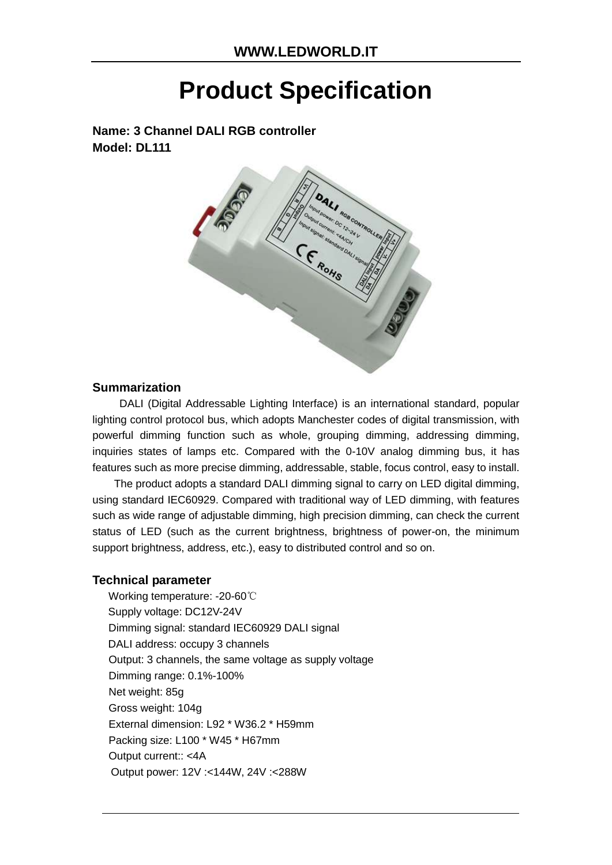# **Product Specification**

**Name: 3 Channel DALI RGB controller Model: DL111**



#### **Summarization**

DALI (Digital Addressable Lighting Interface) is an international standard, popular lighting control protocol bus, which adopts Manchester codes of digital transmission, with powerful dimming function such as whole, grouping dimming, addressing dimming, inquiries states of lamps etc. Compared with the 0-10V analog dimming bus, it has features such as more precise dimming, addressable, stable, focus control, easy to install.

The product adopts a standard DALI dimming signal to carry on LED digital dimming, using standard IEC60929. Compared with traditional way of LED dimming, with features such as wide range of adjustable dimming, high precision dimming, can check the current status of LED (such as the current brightness, brightness of power-on, the minimum support brightness, address, etc.), easy to distributed control and so on.

#### **Technical parameter**

Working temperature: -20-60℃ Supply voltage: DC12V-24V Dimming signal: standard IEC60929 DALI signal DALI address: occupy 3 channels Output: 3 channels, the same voltage as supply voltage Dimming range: 0.1%-100% Net weight: 85g Gross weight: 104g External dimension: L92 \* W36.2 \* H59mm Packing size: L100 \* W45 \* H67mm Output current:: <4A Output power: 12V :<144W, 24V :<288W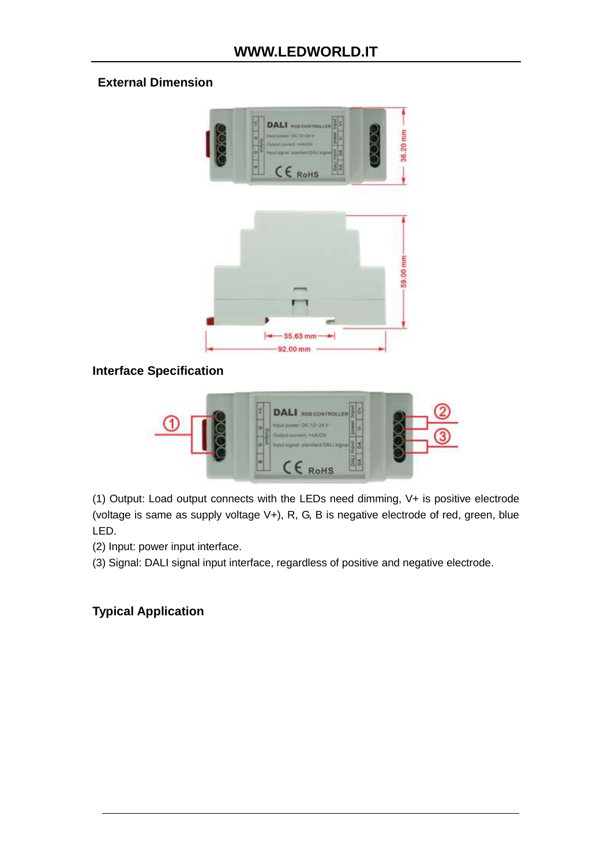### **External Dimension**



## **Interface Specification**



(1) Output: Load output connects with the LEDs need dimming, V+ is positive electrode (voltage is same as supply voltage V+), R, G, B is negative electrode of red, green, blue LED.

(2) Input: power input interface.

(3) Signal: DALI signal input interface, regardless of positive and negative electrode.

## **Typical Application**